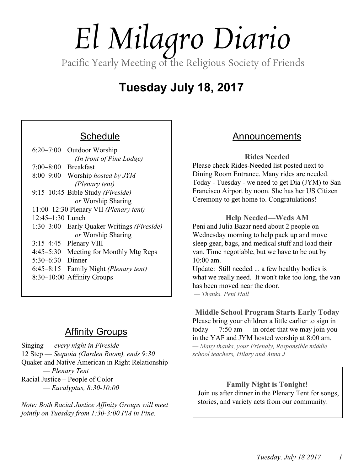# *El Milagro Diario*

Pacific Yearly Meeting of the Religious Society of Friends

# **Tuesday July 18, 2017**

# **Schedule**

| $6:20 - 7:00$<br>Outdoor Worship              |
|-----------------------------------------------|
| (In front of Pine Lodge)                      |
| $7:00-8:00$ Breakfast                         |
| 8:00–9:00 Worship hosted by JYM               |
| (Plenary tent)                                |
| 9:15-10:45 Bible Study (Fireside)             |
| or Worship Sharing                            |
| 11:00-12:30 Plenary VII (Plenary tent)        |
| 12:45-1:30 Lunch                              |
| 1:30–3:00 Early Quaker Writings (Fireside)    |
| or Worship Sharing                            |
| $3:15-4:45$ Plenary VIII                      |
| $4:45 - 5:30$<br>Meeting for Monthly Mtg Reps |
| 5:30–6:30 Dinner                              |
| $6:45 - 8:15$<br>Family Night (Plenary tent)  |
| 8:30-10:00 Affinity Groups                    |

# Affinity Groups

Singing — *every night in Fireside* 12 Step — *Sequoia (Garden Room), ends 9:30* Quaker and Native American in Right Relationship — *Plenary Tent* Racial Justice – People of Color — *Eucalyptus, 8:30-10:00*

*Note: Both Racial Justice Affinity Groups will meet jointly on Tuesday from 1:30-3:00 PM in Pine.*

# Announcements

**Rides Needed**

Please check Rides-Needed list posted next to Dining Room Entrance. Many rides are needed. Today - Tuesday - we need to get Dia (JYM) to San Francisco Airport by noon. She has her US Citizen Ceremony to get home to. Congratulations!

### **Help Needed—Weds AM**

Peni and Julia Bazar need about 2 people on Wednesday morning to help pack up and move sleep gear, bags, and medical stuff and load their van. Time negotiable, but we have to be out by 10:00 am.

Update: Still needed ... a few healthy bodies is what we really need. It won't take too long, the van has been moved near the door

*— Thanks. Peni Hall*

**Middle School Program Starts Early Today** Please bring your children a little earlier to sign in today  $-7:50$  am  $-$  in order that we may join you in the YAF and JYM hosted worship at 8:00 am. *— Many thanks, your Friendly, Responsible middle*

*school teachers, Hilary and Anna J*

**Family Night is Tonight!** Join us after dinner in the Plenary Tent for songs, stories, and variety acts from our community.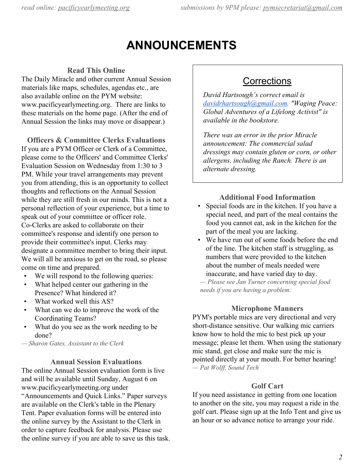# **ANNOUNCEMENTS**

### **Read This Online**

The Daily Miracle and other current Annual Session materials like maps, schedules, agendas etc., are also available online on the PYM website: www.pacificyearlymeeting.org. There are links to these materials on the home page. (After the end of Annual Session the links may move or disappear.)

**Officers & Committee Clerks Evaluations** If you are a PYM Officer or Clerk of a Committee, please come to the Officers' and Committee Clerks' Evaluation Session on Wednesday from 1:30 to 3 PM. While your travel arrangements may prevent you from attending, this is an opportunity to collect thoughts and reflections on the Annual Session while they are still fresh in our minds. This is not a personal reflection of your experience, but a time to speak out of your committee or officer role. Co-Clerks are asked to collaborate on their committee's response and identify one person to provide their committee's input. Clerks may designate a committee member to bring their input. We will all be anxious to get on the road, so please come on time and prepared.

- We will respond to the following queries:
- What helped center our gathering in the Presence? What hindered it?
- What worked well this AS?
- What can we do to improve the work of the Coordinating Teams?
- What do you see as the work needing to be done?

*— Sharon Gates, Assistant to the Clerk*

#### **Annual Session Evaluations**

The online Annual Session evaluation form is live and will be available until Sunday, August 6 on www.pacificyearlymeeting.org under "Announcements and Quick Links." Paper surveys are available on the Clerk's table in the Plenary Tent. Paper evaluation forms will be entered into the online survey by the Assistant to the Clerk in order to capture feedback for analysis. Please use the online survey if you are able to save us this task.

# **Corrections**

*David Hartsough's correct email is [davidrhartsough@gmail.com.](mailto:davidrhartsough@gmail.com) "Waging Peace: Global Adventures of a Lifelong Activist" is available in the bookstore.*

*There was an error in the prior Miracle announcement: The commercial salad dressings may contain gluten or corn, or other allergens, including the Ranch. There is an alternate dressing.*

### **Additional Food Information**

- Special foods are in the kitchen. If you have a special need, and part of the meal contains the food you cannot eat, ask in the kitchen for the part of the meal you are lacking.
- We have run out of some foods before the end of the line. The kitchen staff is struggling, as numbers that were provided to the kitchen about the number of meals needed were inaccurate, and have varied day to day.

*— Please see Jan Turner concerning special food needs if you are having a problem.*

#### **Microphone Manners**

PYM's portable mics are very directional and very short-distance sensitive. Our walking mic carriers know how to hold the mic to best pick up your message; please let them. When using the stationary mic stand, get close and make sure the mic is pointed directly at your mouth. For better hearing! *— Pat Wolf , Sound Tech*

#### **Golf Cart**

If you need assistance in getting from one location to another on the site, you may request a ride in the golf cart. Please sign up at the Info Tent and give us an hour or so advance notice to arrange your ride.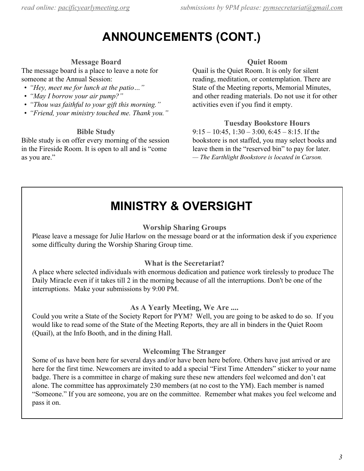# **ANNOUNCEMENTS (CONT.)**

## **Message Board**

The message board is a place to leave a note for someone at the Annual Session:

- *• "Hey, meet me for lunch at the patio…"*
- *• "May I borrow your air pump?"*
- *• "Thou was faithful to your gift this morning."*
- *• "Friend, your ministry touched me. Thank you."*

### **Bible Study**

Bible study is on offer every morning of the session in the Fireside Room. It is open to all and is "come as you are."

### **Quiet Room**

Quail is the Quiet Room. It is only for silent reading, meditation, or contemplation. There are State of the Meeting reports, Memorial Minutes, and other reading materials. Do not use it for other activities even if you find it empty.

### **Tuesday Bookstore Hours**

 $9:15 - 10:45$ ,  $1:30 - 3:00$ ,  $6:45 - 8:15$ . If the bookstore is not staffed, you may select books and leave them in the "reserved bin" to pay for later. *— The Earthlight Bookstore is located in Carson.*

# **MINISTRY & OVERSIGHT**

### **Worship Sharing Groups**

Please leave a message for Julie Harlow on the message board or at the information desk if you experience some difficulty during the Worship Sharing Group time.

### **What is the Secretariat?**

A place where selected individuals with enormous dedication and patience work tirelessly to produce The Daily Miracle even if it takes till 2 in the morning because of all the interruptions. Don't be one of the interruptions. Make your submissions by 9:00 PM.

### **As A Yearly Meeting, We Are ....**

Could you write a State of the Society Report for PYM? Well, you are going to be asked to do so. If you would like to read some of the State of the Meeting Reports, they are all in binders in the Quiet Room (Quail), at the Info Booth, and in the dining Hall.

### **Welcoming The Stranger**

Some of us have been here for several days and/or have been here before. Others have just arrived or are here for the first time. Newcomers are invited to add a special "First Time Attenders" sticker to your name badge. There is a committee in charge of making sure these new attenders feel welcomed and don't eat alone. The committee has approximately 230 members (at no cost to the YM). Each member is named "Someone." If you are someone, you are on the committee. Remember what makes you feel welcome and pass it on.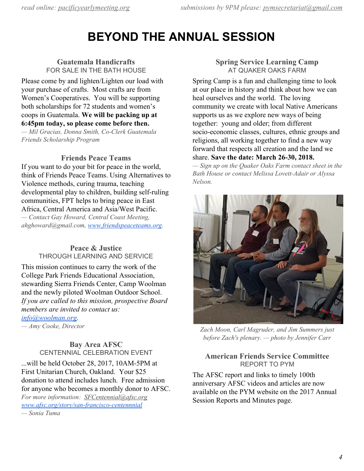# **BEYOND THE ANNUAL SESSION**

### **Guatemala Handicrafts** FOR SALE IN THE BATH HOUSE

Please come by and lighten/Lighten our load with your purchase of crafts. Most crafts are from Women's Cooperatives. You will be supporting both scholarships for 72 students and women's coops in Guatemala. **We will be packing up at 6:45pm today, so please come before then.**

*— Mil Gracias, Donna Smith, Co-Clerk Guatemala Friends Scholarship Program*

### **Friends Peace Teams**

If you want to do your bit for peace in the world, think of Friends Peace Teams. Using Alternatives to Violence methods, curing trauma, teaching developmental play to children, building self-ruling communities, FPT helps to bring peace in East Africa, Central America and Asia/West Pacific. *— Contact Gay Howard, Central Coast Meeting, ahghoward@gmail.com, [www.friendspeaceteams.org.](http://www.friendspeaceteams.org/)*

### **Peace & Justice** THROUGH LEARNING AND SERVICE

This mission continues to carry the work of the College Park Friends Educational Association, stewarding Sierra Friends Center, Camp Woolman and the newly piloted Woolman Outdoor School. *If you are called to this mission, prospective Board members are invited to contact us:*

*[info@woolman.org.](mailto:info@woolman.org)*

*— Amy Cooke, Director*

### **Bay Area AFSC** CENTENNIAL CELEBRATION EVENT

...will be held October 28, 2017, 10AM-5PM at First Unitarian Church, Oakland. Your \$25 donation to attend includes lunch. Free admission for anyone who becomes a monthly donor to AFSC. *For more information: [SFCentennial@afsc.org](mailto:SFCentennial@afsc.org) [www.afsc.org/story/san-francisco-centennnial](http://www.afsc.org/story/san-francisco-centennnial) — Sonia Tuma*

#### **Spring Service Learning Camp** AT QUAKER OAKS FARM

Spring Camp is a fun and challenging time to look at our place in history and think about how we can heal ourselves and the world. The loving community we create with local Native Americans supports us as we explore new ways of being together: young and older; from different socio-economic classes, cultures, ethnic groups and religions, all working together to find a new way forward that respects all creation and the land we share. **Save the date: March 26-30, 2018.**

*— Sign up on the Quaker Oaks Farm contact sheet in the Bath House or contact Melissa Lovett-Adair or Alyssa Nelson.*



*Zach Moon, Carl Magruder, and Jim Summers just before Zach's plenary. — photo by Jennifer Carr*

### **American Friends Service Committee** REPORT TO PYM

The AFSC report and links to timely 100th anniversary AFSC videos and articles are now available on the PYM website on the 2017 Annual Session Reports and Minutes page.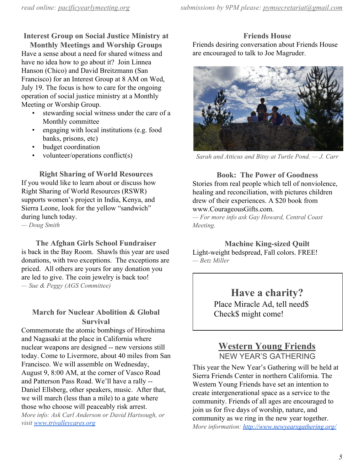# **Interest Group on Social Justice Ministry at**

**Monthly Meetings and Worship Groups** Have a sense about a need for shared witness and have no idea how to go about it? Join Linnea Hanson (Chico) and David Breitzmann (San Francisco) for an Interest Group at 8 AM on Wed, July 19. The focus is how to care for the ongoing operation of social justice ministry at a Monthly Meeting or Worship Group.

- stewarding social witness under the care of a Monthly committee
- engaging with local institutions (e.g. food banks, prisons, etc)
- budget coordination
- volunteer/operations conflict(s)

**Right Sharing of World Resources** If you would like to learn about or discuss how Right Sharing of World Resources (RSWR) supports women's project in India, Kenya, and Sierra Leone, look for the yellow "sandwich" during lunch today.

*— Doug Smith*

**The Afghan Girls School Fundraiser** is back in the Bay Room. Shawls this year are used donations, with two exceptions. The exceptions are priced. All others are yours for any donation you are led to give. The coin jewelry is back too! *— Sue & Peggy (AGS Committee)*

### **March for Nuclear Abolition & Global Survival**

Commemorate the atomic bombings of Hiroshima and Nagasaki at the place in California where nuclear weapons are designed -- new versions still today. Come to Livermore, about 40 miles from San Francisco. We will assemble on Wednesday, August 9, 8:00 AM, at the corner of Vasco Road and Patterson Pass Road. We'll have a rally -- Daniel Ellsberg, other speakers, music. After that, we will march (less than a mile) to a gate where those who choose will peaceably risk arrest. *More info: Ask Carl Anderson or David Hartsough, or visit [www.trivalleycares.org](http://www.trivalleycares.org/)*

**Friends House** Friends desiring conversation about Friends House are encouraged to talk to Joe Magruder.



*Sarah and Atticus and Bitsy at Turtle Pond. — J. Carr*

**Book: The Power of Goodness** Stories from real people which tell of nonviolence, healing and reconciliation, with pictures children drew of their experiences. A \$20 book from www.CourageousGifts.com. *— For more info ask Gay Howard, Central Coast Meeting.*

**Machine King-sized Quilt** Light-weight bedspread, Fall colors. FREE! *— Betz Miller*

> **Have a charity?** Place Miracle Ad, tell need\$ Check\$ might come!

# **Western Young Friends** NEW YEAR'S GATHERING

This year the New Year's Gathering will be held at Sierra Friends Center in northern California. The Western Young Friends have set an intention to create intergenerational space as a service to the community. Friends of all ages are encouraged to join us for five days of worship, nature, and community as we ring in the new year together. *More information: <http://www.newyearsgathering.org/>*